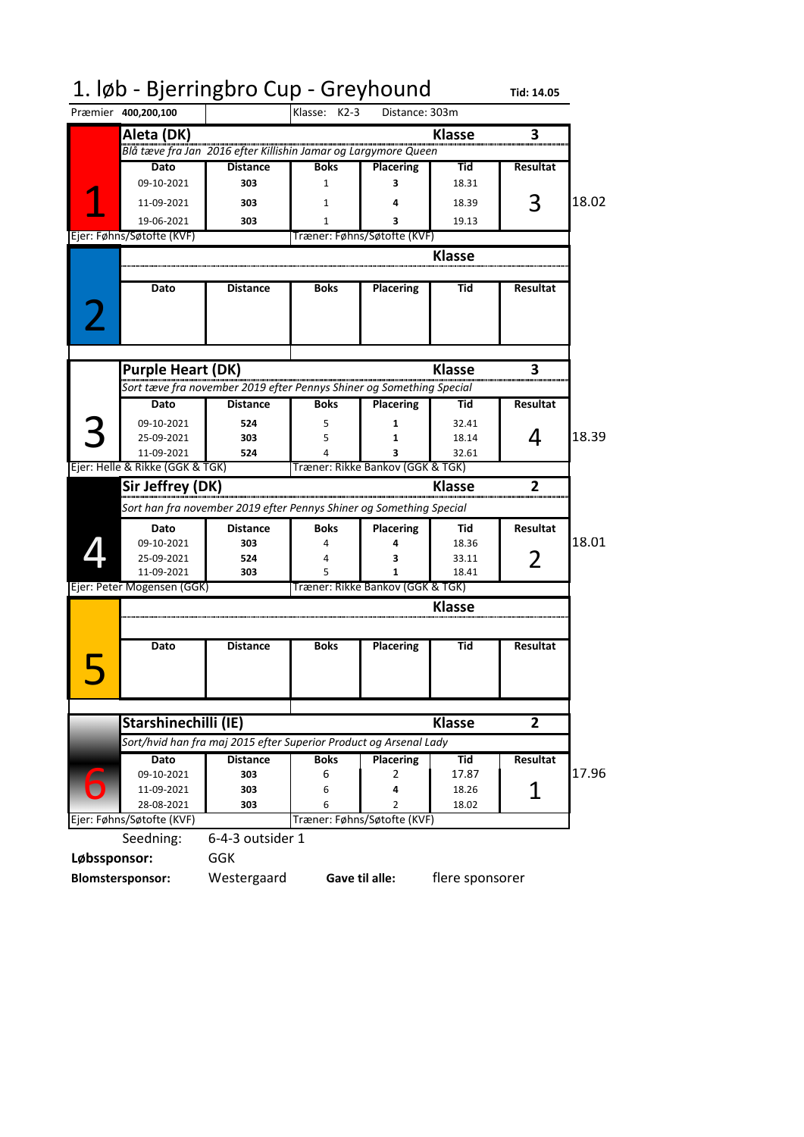|              | 1. løb - Bjerringbro Cup - Greyhound |                                                                      |              |                                  |                 | Tid: 14.05      |       |
|--------------|--------------------------------------|----------------------------------------------------------------------|--------------|----------------------------------|-----------------|-----------------|-------|
|              | Præmier 400,200,100                  |                                                                      | Klasse: K2-3 | Distance: 303m                   |                 |                 |       |
|              | Aleta (DK)                           |                                                                      |              |                                  | <b>Klasse</b>   | 3               |       |
|              |                                      | .<br>Blå tæve fra Jan  2016 efter Killishin Jamar og Largymore Queen |              |                                  |                 |                 |       |
|              | Dato                                 | <b>Distance</b>                                                      | <b>Boks</b>  | <b>Placering</b>                 | Tid             | Resultat        |       |
|              | 09-10-2021                           | 303                                                                  | 1            | 3                                | 18.31           |                 |       |
|              | 11-09-2021                           | 303                                                                  | 1            |                                  | 18.39           | 3               | 18.02 |
|              | 19-06-2021                           | 303                                                                  | 1            | 3                                | 19.13           |                 |       |
|              | Ejer: Føhns/Søtofte (KVF)            |                                                                      |              | Træner: Føhns/Søtofte (KVF)      |                 |                 |       |
|              |                                      |                                                                      |              |                                  | <b>Klasse</b>   |                 |       |
|              |                                      |                                                                      |              |                                  |                 |                 |       |
|              | Dato                                 | <b>Distance</b>                                                      | <b>Boks</b>  | <b>Placering</b>                 | Tid             | <b>Resultat</b> |       |
|              |                                      |                                                                      |              |                                  |                 |                 |       |
|              |                                      |                                                                      |              |                                  |                 |                 |       |
|              |                                      |                                                                      |              |                                  |                 |                 |       |
|              |                                      |                                                                      |              |                                  |                 |                 |       |
|              | <b>Purple Heart (DK)</b>             |                                                                      |              |                                  | <b>Klasse</b>   | 3               |       |
|              |                                      | Sort tæve fra november 2019 efter Pennys Shiner og Something Special |              |                                  |                 |                 |       |
|              | Dato                                 | <b>Distance</b>                                                      | <b>Boks</b>  | <b>Placering</b>                 | Tid             | <b>Resultat</b> |       |
|              | 09-10-2021                           | 524                                                                  | 5            | 1                                | 32.41           |                 |       |
|              | 25-09-2021                           | 303                                                                  | 5            | 1                                | 18.14           | 4               | 18.39 |
|              | 11-09-2021                           | 524                                                                  |              | 3                                | 32.61           |                 |       |
|              | Ejer: Helle & Rikke (GGK & TGK)      |                                                                      |              | Træner: Rikke Bankov (GGK & TGK) |                 |                 |       |
|              | Sir Jeffrey (DK)                     |                                                                      |              |                                  | <b>Klasse</b>   | 2               |       |
|              |                                      | Sort han fra november 2019 efter Pennys Shiner og Something Special  |              |                                  |                 |                 |       |
|              | Dato                                 | <b>Distance</b>                                                      | <b>Boks</b>  | <b>Placering</b>                 | Tid             | <b>Resultat</b> |       |
|              | 09-10-2021                           | 303                                                                  | 4            | 4                                | 18.36           |                 | 18.01 |
|              | 25-09-2021                           | 524                                                                  | 4            | 3                                | 33.11           | 2               |       |
|              | 11-09-2021                           | 303                                                                  | 5            | 1                                | 18.41           |                 |       |
|              | Ejer: Peter Mogensen (GGK)           |                                                                      |              | Træner: Rikke Bankov (GGK & TGK) |                 |                 |       |
|              |                                      |                                                                      |              |                                  | Klasse          |                 |       |
|              |                                      |                                                                      |              |                                  |                 |                 |       |
|              | Dato                                 | <b>Distance</b>                                                      | <b>Boks</b>  | <b>Placering</b>                 | Tid             | Resultat        |       |
|              |                                      |                                                                      |              |                                  |                 |                 |       |
|              |                                      |                                                                      |              |                                  |                 |                 |       |
|              |                                      |                                                                      |              |                                  |                 |                 |       |
|              | Starshinechilli (IE)                 |                                                                      |              |                                  | <b>Klasse</b>   | $\overline{2}$  |       |
|              |                                      |                                                                      |              |                                  |                 |                 |       |
|              |                                      | Sort/hvid han fra maj 2015 efter Superior Product og Arsenal Lady    |              |                                  |                 |                 |       |
|              | <b>Dato</b>                          | <b>Distance</b>                                                      | <b>Boks</b>  | <b>Placering</b>                 | Tid             | <b>Resultat</b> | 17.96 |
|              | 09-10-2021<br>11-09-2021             | 303<br>303                                                           | 6<br>6       | 2<br>4                           | 17.87<br>18.26  | 1               |       |
|              | 28-08-2021                           | 303                                                                  | 6            | $\overline{2}$                   | 18.02           |                 |       |
|              | Ejer: Føhns/Søtofte (KVF)            |                                                                      |              | Træner: Føhns/Søtofte (KVF)      |                 |                 |       |
|              | Seedning:                            | 6-4-3 outsider 1                                                     |              |                                  |                 |                 |       |
| Løbssponsor: |                                      | <b>GGK</b>                                                           |              |                                  |                 |                 |       |
|              |                                      |                                                                      |              |                                  |                 |                 |       |
|              | <b>Blomstersponsor:</b>              | Westergaard                                                          |              | Gave til alle:                   | flere sponsorer |                 |       |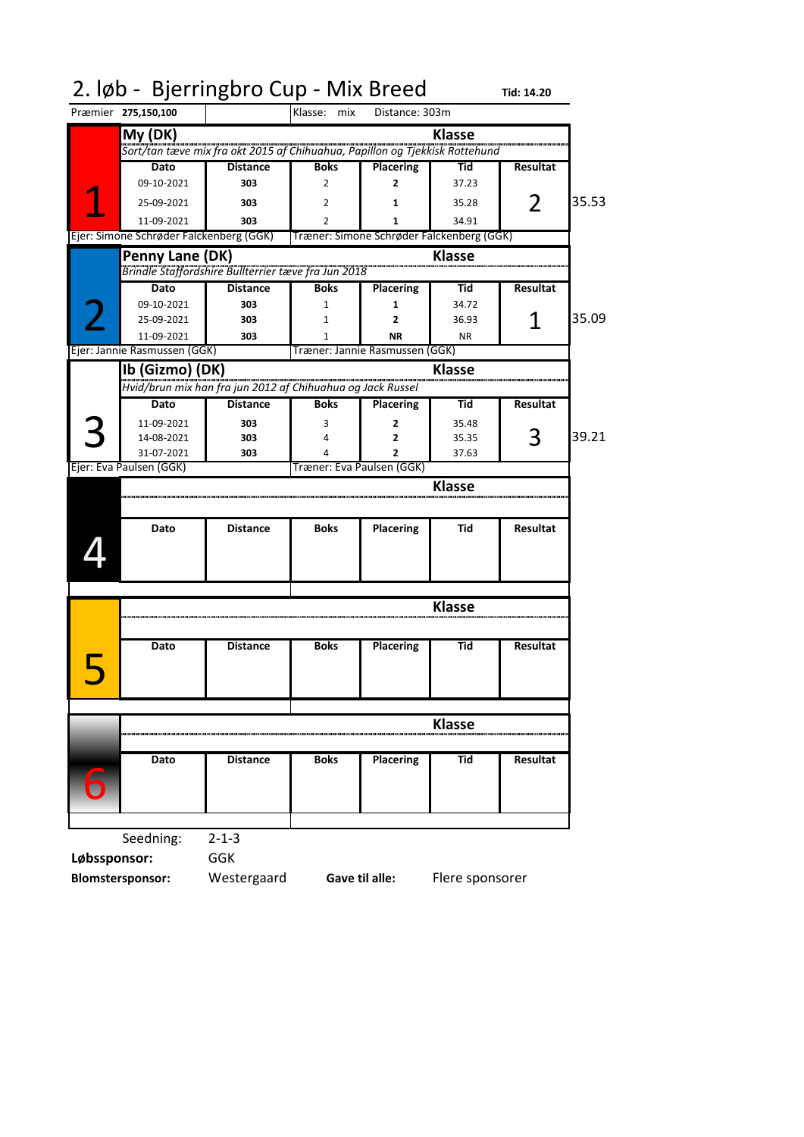| Præmier 275,150,100<br>Klasse: mix<br>Distance: 303m<br>My (DK)<br><b>Klasse</b><br>.<br>Sort/tan tæve mix fra okt 2015 af Chihuahua, Papillon og Tjekkisk Rottehund<br><b>Boks</b><br>Dato<br><b>Distance</b><br><b>Placering</b><br>Tid<br>Resultat<br>09-10-2021<br>303<br>37.23<br>2<br>$\overline{2}$<br>35.53<br>2<br>25-09-2021<br>303<br>35.28<br>2<br>1<br>11-09-2021<br>303<br>34.91<br>2<br>Ejer: Simone Schrøder Falckenberg (GGK)<br>Træner: Simone Schrøder Falckenberg (GGK)<br>Penny Lane (DK)<br><b>Klasse</b><br>Brindle Staffordshire Bullterrier tæve fra Jun 2018<br><b>Placering</b><br>Dato<br><b>Distance</b><br><b>Boks</b><br>Tid<br>Resultat<br>09-10-2021<br>303<br>34.72<br>$\mathbf{1}$<br>1<br>35.09<br>1<br>303<br>25-09-2021<br>$\overline{2}$<br>36.93<br>1<br>11-09-2021<br>303<br><b>NR</b><br><b>NR</b><br>1<br>Ejer: Jannie Rasmussen (GGK)<br>Træner: Jannie Rasmussen (GGK)<br>Ib (Gizmo) (DK)<br><b>Klasse</b><br>Hvid/brun mix han fra jun 2012 af Chihuahua og Jack Russel<br>Dato<br><b>Distance</b><br><b>Boks</b><br><b>Placering</b><br>Resultat<br>Tid<br>11-09-2021<br>303<br>35.48<br>3<br>2<br>3<br>39.21<br>14-08-2021<br>303<br>35.35<br>$\overline{2}$<br>4<br>31-07-2021<br>303<br>2<br>37.63<br>4<br>Ejer: Eva Paulsen (GGK)<br>Træner: Eva Paulsen (GGK)<br><b>Klasse</b><br><b>Distance</b><br><b>Boks</b><br><b>Placering</b><br>Tid<br>Resultat<br>Dato<br>Klasse<br>Placering<br>Dato<br><b>Distance</b><br><b>Boks</b><br>Tid<br>Resultat<br><b>Klasse</b><br><b>Placering</b><br><b>Boks</b><br><b>Resultat</b><br>Dato<br><b>Distance</b><br>Tid<br>Seedning:<br>$2 - 1 - 3$ |                       |  | 2. løb - Bjerringbro Cup - Mix Breed |  | Tid: 14.20 |  |
|----------------------------------------------------------------------------------------------------------------------------------------------------------------------------------------------------------------------------------------------------------------------------------------------------------------------------------------------------------------------------------------------------------------------------------------------------------------------------------------------------------------------------------------------------------------------------------------------------------------------------------------------------------------------------------------------------------------------------------------------------------------------------------------------------------------------------------------------------------------------------------------------------------------------------------------------------------------------------------------------------------------------------------------------------------------------------------------------------------------------------------------------------------------------------------------------------------------------------------------------------------------------------------------------------------------------------------------------------------------------------------------------------------------------------------------------------------------------------------------------------------------------------------------------------------------------------------------------------------------------------------------------|-----------------------|--|--------------------------------------|--|------------|--|
|                                                                                                                                                                                                                                                                                                                                                                                                                                                                                                                                                                                                                                                                                                                                                                                                                                                                                                                                                                                                                                                                                                                                                                                                                                                                                                                                                                                                                                                                                                                                                                                                                                              |                       |  |                                      |  |            |  |
|                                                                                                                                                                                                                                                                                                                                                                                                                                                                                                                                                                                                                                                                                                                                                                                                                                                                                                                                                                                                                                                                                                                                                                                                                                                                                                                                                                                                                                                                                                                                                                                                                                              |                       |  |                                      |  |            |  |
|                                                                                                                                                                                                                                                                                                                                                                                                                                                                                                                                                                                                                                                                                                                                                                                                                                                                                                                                                                                                                                                                                                                                                                                                                                                                                                                                                                                                                                                                                                                                                                                                                                              |                       |  |                                      |  |            |  |
|                                                                                                                                                                                                                                                                                                                                                                                                                                                                                                                                                                                                                                                                                                                                                                                                                                                                                                                                                                                                                                                                                                                                                                                                                                                                                                                                                                                                                                                                                                                                                                                                                                              |                       |  |                                      |  |            |  |
|                                                                                                                                                                                                                                                                                                                                                                                                                                                                                                                                                                                                                                                                                                                                                                                                                                                                                                                                                                                                                                                                                                                                                                                                                                                                                                                                                                                                                                                                                                                                                                                                                                              |                       |  |                                      |  |            |  |
|                                                                                                                                                                                                                                                                                                                                                                                                                                                                                                                                                                                                                                                                                                                                                                                                                                                                                                                                                                                                                                                                                                                                                                                                                                                                                                                                                                                                                                                                                                                                                                                                                                              |                       |  |                                      |  |            |  |
|                                                                                                                                                                                                                                                                                                                                                                                                                                                                                                                                                                                                                                                                                                                                                                                                                                                                                                                                                                                                                                                                                                                                                                                                                                                                                                                                                                                                                                                                                                                                                                                                                                              |                       |  |                                      |  |            |  |
|                                                                                                                                                                                                                                                                                                                                                                                                                                                                                                                                                                                                                                                                                                                                                                                                                                                                                                                                                                                                                                                                                                                                                                                                                                                                                                                                                                                                                                                                                                                                                                                                                                              |                       |  |                                      |  |            |  |
|                                                                                                                                                                                                                                                                                                                                                                                                                                                                                                                                                                                                                                                                                                                                                                                                                                                                                                                                                                                                                                                                                                                                                                                                                                                                                                                                                                                                                                                                                                                                                                                                                                              |                       |  |                                      |  |            |  |
|                                                                                                                                                                                                                                                                                                                                                                                                                                                                                                                                                                                                                                                                                                                                                                                                                                                                                                                                                                                                                                                                                                                                                                                                                                                                                                                                                                                                                                                                                                                                                                                                                                              |                       |  |                                      |  |            |  |
|                                                                                                                                                                                                                                                                                                                                                                                                                                                                                                                                                                                                                                                                                                                                                                                                                                                                                                                                                                                                                                                                                                                                                                                                                                                                                                                                                                                                                                                                                                                                                                                                                                              |                       |  |                                      |  |            |  |
|                                                                                                                                                                                                                                                                                                                                                                                                                                                                                                                                                                                                                                                                                                                                                                                                                                                                                                                                                                                                                                                                                                                                                                                                                                                                                                                                                                                                                                                                                                                                                                                                                                              |                       |  |                                      |  |            |  |
|                                                                                                                                                                                                                                                                                                                                                                                                                                                                                                                                                                                                                                                                                                                                                                                                                                                                                                                                                                                                                                                                                                                                                                                                                                                                                                                                                                                                                                                                                                                                                                                                                                              |                       |  |                                      |  |            |  |
|                                                                                                                                                                                                                                                                                                                                                                                                                                                                                                                                                                                                                                                                                                                                                                                                                                                                                                                                                                                                                                                                                                                                                                                                                                                                                                                                                                                                                                                                                                                                                                                                                                              |                       |  |                                      |  |            |  |
|                                                                                                                                                                                                                                                                                                                                                                                                                                                                                                                                                                                                                                                                                                                                                                                                                                                                                                                                                                                                                                                                                                                                                                                                                                                                                                                                                                                                                                                                                                                                                                                                                                              |                       |  |                                      |  |            |  |
|                                                                                                                                                                                                                                                                                                                                                                                                                                                                                                                                                                                                                                                                                                                                                                                                                                                                                                                                                                                                                                                                                                                                                                                                                                                                                                                                                                                                                                                                                                                                                                                                                                              |                       |  |                                      |  |            |  |
|                                                                                                                                                                                                                                                                                                                                                                                                                                                                                                                                                                                                                                                                                                                                                                                                                                                                                                                                                                                                                                                                                                                                                                                                                                                                                                                                                                                                                                                                                                                                                                                                                                              |                       |  |                                      |  |            |  |
|                                                                                                                                                                                                                                                                                                                                                                                                                                                                                                                                                                                                                                                                                                                                                                                                                                                                                                                                                                                                                                                                                                                                                                                                                                                                                                                                                                                                                                                                                                                                                                                                                                              |                       |  |                                      |  |            |  |
|                                                                                                                                                                                                                                                                                                                                                                                                                                                                                                                                                                                                                                                                                                                                                                                                                                                                                                                                                                                                                                                                                                                                                                                                                                                                                                                                                                                                                                                                                                                                                                                                                                              |                       |  |                                      |  |            |  |
|                                                                                                                                                                                                                                                                                                                                                                                                                                                                                                                                                                                                                                                                                                                                                                                                                                                                                                                                                                                                                                                                                                                                                                                                                                                                                                                                                                                                                                                                                                                                                                                                                                              |                       |  |                                      |  |            |  |
|                                                                                                                                                                                                                                                                                                                                                                                                                                                                                                                                                                                                                                                                                                                                                                                                                                                                                                                                                                                                                                                                                                                                                                                                                                                                                                                                                                                                                                                                                                                                                                                                                                              |                       |  |                                      |  |            |  |
|                                                                                                                                                                                                                                                                                                                                                                                                                                                                                                                                                                                                                                                                                                                                                                                                                                                                                                                                                                                                                                                                                                                                                                                                                                                                                                                                                                                                                                                                                                                                                                                                                                              |                       |  |                                      |  |            |  |
|                                                                                                                                                                                                                                                                                                                                                                                                                                                                                                                                                                                                                                                                                                                                                                                                                                                                                                                                                                                                                                                                                                                                                                                                                                                                                                                                                                                                                                                                                                                                                                                                                                              |                       |  |                                      |  |            |  |
|                                                                                                                                                                                                                                                                                                                                                                                                                                                                                                                                                                                                                                                                                                                                                                                                                                                                                                                                                                                                                                                                                                                                                                                                                                                                                                                                                                                                                                                                                                                                                                                                                                              |                       |  |                                      |  |            |  |
|                                                                                                                                                                                                                                                                                                                                                                                                                                                                                                                                                                                                                                                                                                                                                                                                                                                                                                                                                                                                                                                                                                                                                                                                                                                                                                                                                                                                                                                                                                                                                                                                                                              |                       |  |                                      |  |            |  |
|                                                                                                                                                                                                                                                                                                                                                                                                                                                                                                                                                                                                                                                                                                                                                                                                                                                                                                                                                                                                                                                                                                                                                                                                                                                                                                                                                                                                                                                                                                                                                                                                                                              |                       |  |                                      |  |            |  |
|                                                                                                                                                                                                                                                                                                                                                                                                                                                                                                                                                                                                                                                                                                                                                                                                                                                                                                                                                                                                                                                                                                                                                                                                                                                                                                                                                                                                                                                                                                                                                                                                                                              |                       |  |                                      |  |            |  |
|                                                                                                                                                                                                                                                                                                                                                                                                                                                                                                                                                                                                                                                                                                                                                                                                                                                                                                                                                                                                                                                                                                                                                                                                                                                                                                                                                                                                                                                                                                                                                                                                                                              |                       |  |                                      |  |            |  |
|                                                                                                                                                                                                                                                                                                                                                                                                                                                                                                                                                                                                                                                                                                                                                                                                                                                                                                                                                                                                                                                                                                                                                                                                                                                                                                                                                                                                                                                                                                                                                                                                                                              |                       |  |                                      |  |            |  |
|                                                                                                                                                                                                                                                                                                                                                                                                                                                                                                                                                                                                                                                                                                                                                                                                                                                                                                                                                                                                                                                                                                                                                                                                                                                                                                                                                                                                                                                                                                                                                                                                                                              |                       |  |                                      |  |            |  |
|                                                                                                                                                                                                                                                                                                                                                                                                                                                                                                                                                                                                                                                                                                                                                                                                                                                                                                                                                                                                                                                                                                                                                                                                                                                                                                                                                                                                                                                                                                                                                                                                                                              |                       |  |                                      |  |            |  |
|                                                                                                                                                                                                                                                                                                                                                                                                                                                                                                                                                                                                                                                                                                                                                                                                                                                                                                                                                                                                                                                                                                                                                                                                                                                                                                                                                                                                                                                                                                                                                                                                                                              |                       |  |                                      |  |            |  |
|                                                                                                                                                                                                                                                                                                                                                                                                                                                                                                                                                                                                                                                                                                                                                                                                                                                                                                                                                                                                                                                                                                                                                                                                                                                                                                                                                                                                                                                                                                                                                                                                                                              |                       |  |                                      |  |            |  |
|                                                                                                                                                                                                                                                                                                                                                                                                                                                                                                                                                                                                                                                                                                                                                                                                                                                                                                                                                                                                                                                                                                                                                                                                                                                                                                                                                                                                                                                                                                                                                                                                                                              |                       |  |                                      |  |            |  |
|                                                                                                                                                                                                                                                                                                                                                                                                                                                                                                                                                                                                                                                                                                                                                                                                                                                                                                                                                                                                                                                                                                                                                                                                                                                                                                                                                                                                                                                                                                                                                                                                                                              |                       |  |                                      |  |            |  |
|                                                                                                                                                                                                                                                                                                                                                                                                                                                                                                                                                                                                                                                                                                                                                                                                                                                                                                                                                                                                                                                                                                                                                                                                                                                                                                                                                                                                                                                                                                                                                                                                                                              | $\blacktriangleright$ |  |                                      |  |            |  |
|                                                                                                                                                                                                                                                                                                                                                                                                                                                                                                                                                                                                                                                                                                                                                                                                                                                                                                                                                                                                                                                                                                                                                                                                                                                                                                                                                                                                                                                                                                                                                                                                                                              |                       |  |                                      |  |            |  |
|                                                                                                                                                                                                                                                                                                                                                                                                                                                                                                                                                                                                                                                                                                                                                                                                                                                                                                                                                                                                                                                                                                                                                                                                                                                                                                                                                                                                                                                                                                                                                                                                                                              |                       |  |                                      |  |            |  |
|                                                                                                                                                                                                                                                                                                                                                                                                                                                                                                                                                                                                                                                                                                                                                                                                                                                                                                                                                                                                                                                                                                                                                                                                                                                                                                                                                                                                                                                                                                                                                                                                                                              |                       |  |                                      |  |            |  |
|                                                                                                                                                                                                                                                                                                                                                                                                                                                                                                                                                                                                                                                                                                                                                                                                                                                                                                                                                                                                                                                                                                                                                                                                                                                                                                                                                                                                                                                                                                                                                                                                                                              |                       |  |                                      |  |            |  |
|                                                                                                                                                                                                                                                                                                                                                                                                                                                                                                                                                                                                                                                                                                                                                                                                                                                                                                                                                                                                                                                                                                                                                                                                                                                                                                                                                                                                                                                                                                                                                                                                                                              |                       |  |                                      |  |            |  |
|                                                                                                                                                                                                                                                                                                                                                                                                                                                                                                                                                                                                                                                                                                                                                                                                                                                                                                                                                                                                                                                                                                                                                                                                                                                                                                                                                                                                                                                                                                                                                                                                                                              |                       |  |                                      |  |            |  |
|                                                                                                                                                                                                                                                                                                                                                                                                                                                                                                                                                                                                                                                                                                                                                                                                                                                                                                                                                                                                                                                                                                                                                                                                                                                                                                                                                                                                                                                                                                                                                                                                                                              |                       |  |                                      |  |            |  |
|                                                                                                                                                                                                                                                                                                                                                                                                                                                                                                                                                                                                                                                                                                                                                                                                                                                                                                                                                                                                                                                                                                                                                                                                                                                                                                                                                                                                                                                                                                                                                                                                                                              |                       |  |                                      |  |            |  |

**Løbssponsor:** GGK **Blomstersponsor:** Westergaard

**Gave til alle:** Flere sponsorer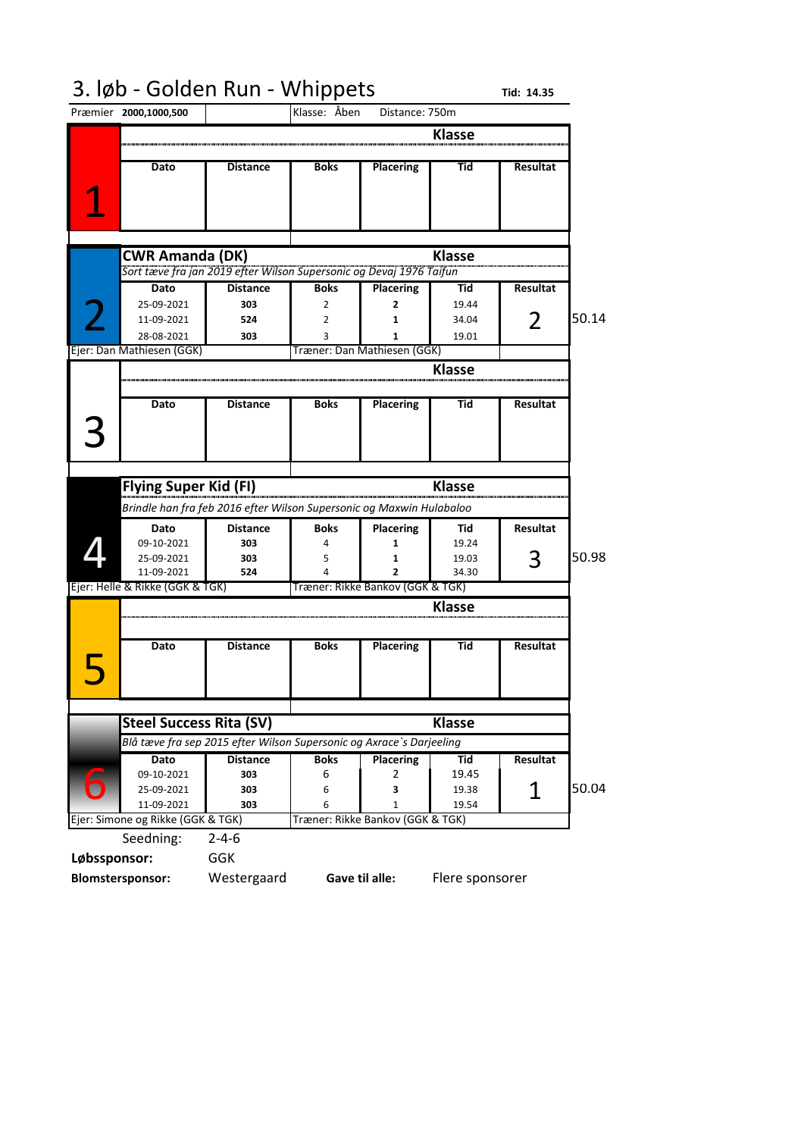#### 3. løb - Golden Run - Whippets Tid: 14.35

|              | Præmier 2000,1000,500                                                |                                                                          | Klasse: Åben | Distance: 750m                   |               |                 |       |
|--------------|----------------------------------------------------------------------|--------------------------------------------------------------------------|--------------|----------------------------------|---------------|-----------------|-------|
|              |                                                                      |                                                                          |              |                                  | <b>Klasse</b> |                 |       |
|              |                                                                      |                                                                          |              |                                  |               |                 |       |
|              | Dato                                                                 | <b>Distance</b>                                                          | <b>Boks</b>  | <b>Placering</b>                 | Tid           | Resultat        |       |
|              |                                                                      |                                                                          |              |                                  |               |                 |       |
|              |                                                                      |                                                                          |              |                                  |               |                 |       |
|              |                                                                      |                                                                          |              |                                  |               |                 |       |
|              |                                                                      |                                                                          |              |                                  |               |                 |       |
|              | <b>CWR Amanda (DK)</b>                                               |                                                                          |              |                                  | <b>Klasse</b> |                 |       |
|              |                                                                      | .<br>Sort tæve fra jan 2019 efter Wilson Supersonic og Devaj 1976 Taifun |              |                                  |               |                 |       |
|              | Dato                                                                 | <b>Distance</b>                                                          | <b>Boks</b>  | <b>Placering</b>                 | Tid           | Resultat        |       |
|              | 25-09-2021                                                           | 303                                                                      | 2            | 2                                | 19.44         |                 |       |
|              | 11-09-2021                                                           | 524                                                                      | 2            | 1                                | 34.04         | $\overline{2}$  | 50.14 |
|              | 28-08-2021                                                           | 303                                                                      | 3            | 1                                | 19.01         |                 |       |
|              | Ejer: Dan Mathiesen (GGK)                                            |                                                                          |              | Træner: Dan Mathiesen (GGK)      |               |                 |       |
|              |                                                                      |                                                                          |              |                                  | <b>Klasse</b> |                 |       |
|              |                                                                      |                                                                          |              |                                  |               |                 |       |
|              |                                                                      |                                                                          | <b>Boks</b>  |                                  | Tid           | <b>Resultat</b> |       |
|              | Dato                                                                 | <b>Distance</b>                                                          |              | <b>Placering</b>                 |               |                 |       |
|              |                                                                      |                                                                          |              |                                  |               |                 |       |
|              |                                                                      |                                                                          |              |                                  |               |                 |       |
|              |                                                                      |                                                                          |              |                                  |               |                 |       |
|              | <b>Flying Super Kid (FI)</b>                                         |                                                                          |              |                                  | <b>Klasse</b> |                 |       |
|              |                                                                      |                                                                          |              |                                  |               |                 |       |
|              | Brindle han fra feb 2016 efter Wilson Supersonic og Maxwin Hulabaloo |                                                                          |              |                                  |               |                 |       |
|              |                                                                      |                                                                          |              |                                  |               |                 |       |
|              | Dato                                                                 | <b>Distance</b>                                                          | <b>Boks</b>  | <b>Placering</b>                 | Tid           | <b>Resultat</b> |       |
|              | 09-10-2021                                                           | 303                                                                      |              | 1                                | 19.24         |                 |       |
|              | 25-09-2021                                                           | 303                                                                      | 5            | 1                                | 19.03         | 3               | 50.98 |
|              | 11-09-2021                                                           | 524                                                                      |              | $\overline{2}$                   | 34.30         |                 |       |
|              | Ejer: Helle & Rikke (GGK & TGK)                                      |                                                                          |              | Træner: Rikke Bankov (GGK & TGK) |               |                 |       |
|              |                                                                      |                                                                          |              |                                  | <b>Klasse</b> |                 |       |
|              |                                                                      |                                                                          |              |                                  |               |                 |       |
|              |                                                                      |                                                                          |              |                                  |               |                 |       |
|              | <b>Dato</b>                                                          | <b>Distance</b>                                                          | <b>Boks</b>  | <b>Placering</b>                 | Tid           | <b>Resultat</b> |       |
|              |                                                                      |                                                                          |              |                                  |               |                 |       |
|              |                                                                      |                                                                          |              |                                  |               |                 |       |
|              |                                                                      |                                                                          |              |                                  |               |                 |       |
|              | <b>Steel Success Rita (SV)</b>                                       |                                                                          |              |                                  | <b>Klasse</b> |                 |       |
|              |                                                                      | Blå tæve fra sep 2015 efter Wilson Supersonic og Axrace`s Darjeeling     |              |                                  |               |                 |       |
|              | Dato                                                                 | <b>Distance</b>                                                          | <b>Boks</b>  | <b>Placering</b>                 | Tid           | <b>Resultat</b> |       |
|              | 09-10-2021                                                           | 303                                                                      | 6            | 2                                | 19.45         |                 |       |
|              | 25-09-2021                                                           | 303                                                                      | 6            | 3                                | 19.38         |                 |       |
|              | 11-09-2021                                                           | 303                                                                      | 6            | $\mathbf{1}$                     | 19.54         | 1               |       |
|              | Ejer: Simone og Rikke (GGK & TGK)                                    |                                                                          |              | Træner: Rikke Bankov (GGK & TGK) |               |                 | 50.04 |
|              | Seedning:                                                            | $2 - 4 - 6$                                                              |              |                                  |               |                 |       |
| Løbssponsor: |                                                                      | <b>GGK</b>                                                               |              |                                  |               |                 |       |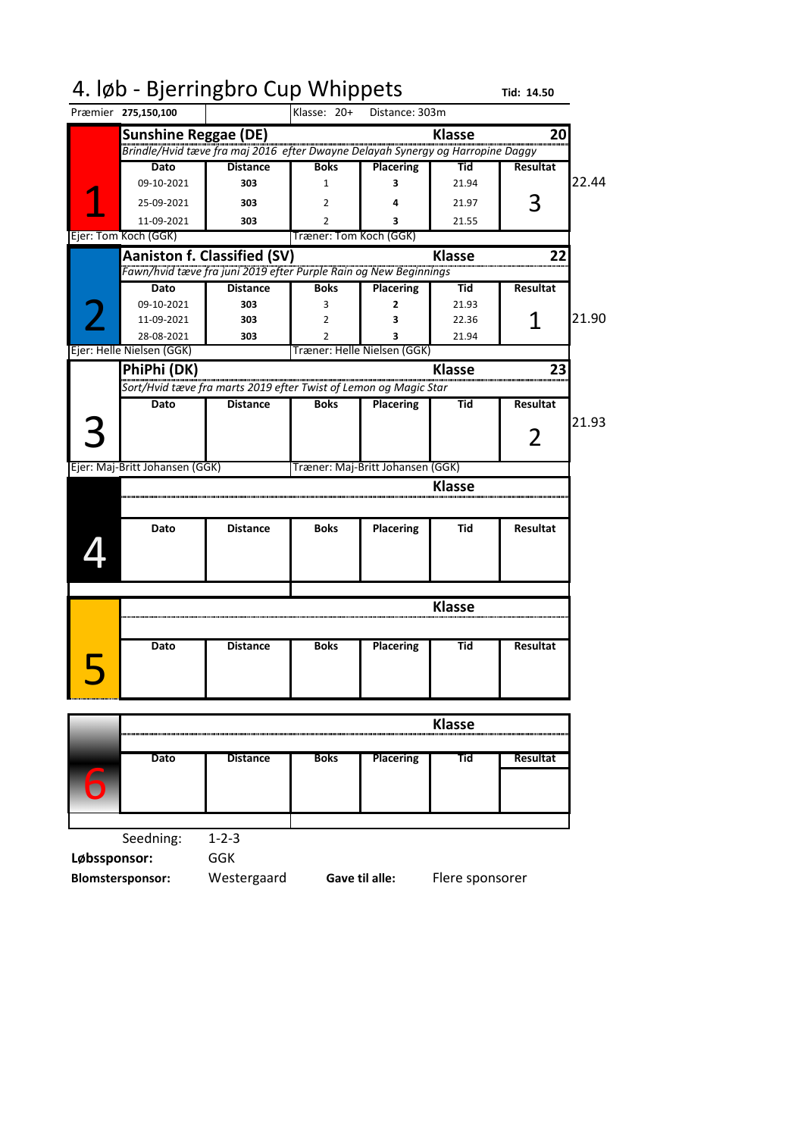| 4. løb - Bjerringbro Cup Whippets                                              |               | Tid: 14.50      |       |
|--------------------------------------------------------------------------------|---------------|-----------------|-------|
| Klasse: 20+<br>Præmier 275,150,100<br>Distance: 303m                           |               |                 |       |
| <b>Sunshine Reggae (DE)</b>                                                    | <b>Klasse</b> | 20              |       |
| Brindle/Hvid tæve fra maj 2016 efter Dwayne Delayah Synergy og Harropine Daggy |               |                 |       |
| <b>Distance</b><br><b>Boks</b><br><b>Dato</b><br><b>Placering</b>              | Tid           | <b>Resultat</b> |       |
| 09-10-2021<br>303<br>1<br>3                                                    | 21.94         |                 | 22.44 |
| 25-09-2021<br>303<br>2                                                         | 21.97         | 3               |       |
| 11-09-2021<br>303<br>$\overline{2}$<br>3                                       | 21.55         |                 |       |
| Ejer: Tom Koch (GGK)<br>Træner: Tom Koch (GGK)                                 |               |                 |       |
| <b>Aaniston f. Classified (SV)</b>                                             | <b>Klasse</b> | 22              |       |
| Fawn/hvid tæve fra juni 2019 efter Purple Rain og New Beginnings               |               |                 |       |
| <b>Distance</b><br>Dato<br><b>Boks</b><br><b>Placering</b>                     | Tid           | <b>Resultat</b> |       |
| 09-10-2021<br>303<br>3<br>2                                                    | 21.93         |                 |       |
| 11-09-2021<br>303<br>2<br>3                                                    | 22.36         | 1               | 21.90 |
| 28-08-2021<br>303<br>2<br>3                                                    | 21.94         |                 |       |
| Ejer: Helle Nielsen (GGK)<br>Træner: Helle Nielsen (GGK)                       |               |                 |       |
| PhiPhi (DK)                                                                    | <b>Klasse</b> | 23              |       |
| Sort/Hvid tæve fra marts 2019 efter Twist of Lemon og Magic Star               |               |                 |       |
| <b>Distance</b><br><b>Placering</b><br>Dato<br><b>Boks</b>                     | Tid           | <b>Resultat</b> |       |
|                                                                                |               |                 | 21.93 |
|                                                                                |               | 2               |       |
|                                                                                |               |                 |       |
| Træner: Maj-Britt Johansen (GGK)<br>Ejer: Maj-Britt Johansen (GGK)             |               |                 |       |
|                                                                                | <b>Klasse</b> |                 |       |
|                                                                                |               |                 |       |
| Dato<br><b>Distance</b><br><b>Boks</b><br><b>Placering</b>                     | Tid           | <b>Resultat</b> |       |
|                                                                                |               |                 |       |
|                                                                                |               |                 |       |
|                                                                                |               |                 |       |
|                                                                                |               |                 |       |
|                                                                                | Klasse        |                 |       |
|                                                                                |               |                 |       |
| <b>Distance</b><br><b>Boks</b><br><b>Placering</b><br>Dato                     | Tid           | Resultat        |       |
|                                                                                |               |                 |       |
|                                                                                |               |                 |       |
|                                                                                |               |                 |       |

|             |                 |             |                  | <b>Klasse</b> |          |
|-------------|-----------------|-------------|------------------|---------------|----------|
| <b>Dato</b> | <b>Distance</b> | <b>Boks</b> | <b>Placering</b> | Гid           | Resultat |
|             |                 |             |                  |               |          |
|             |                 |             |                  |               |          |
|             |                 |             |                  |               |          |

Seedning: 1-2-3 **Løbssponsor:** GGK

**Blomstersponsor:** Westergaard

**Gave til alle:** Flere sponsorer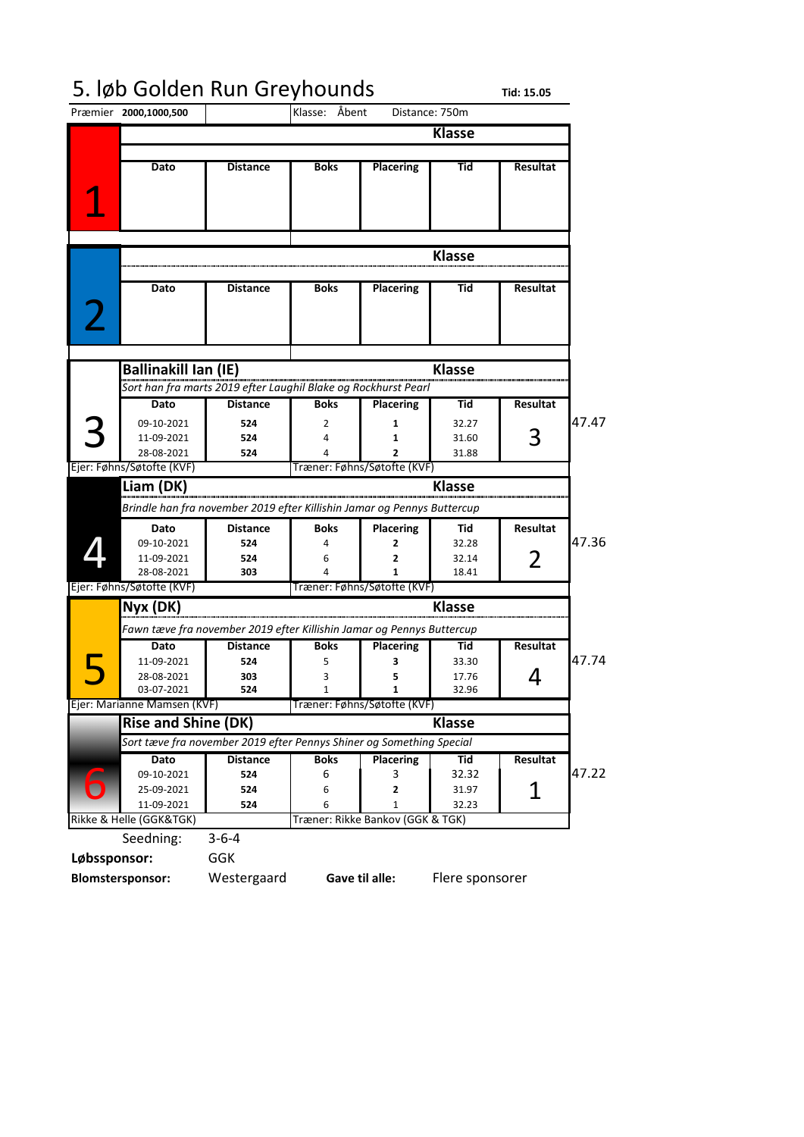#### 5. løb Golden Run Greyhounds **Tid: 15.05**

Præmier **2000,1000,500 Klasse Dato Distance Boks Placering Tid Resultat Klasse Dato Distance Boks Placering Tid Resultat Klasse Dato Distance Boks Placering Tid Resultat** 09-10-2021 **524** 2 **1** 32.27 47.47 11-09-2021 **524** 4 **1** 31.60 **28-08-2021 524** 4 **2 2** 31.88<br>**Eier: Føhns/Søtofte (KVF) Træner: Føhns/Søtofte (KVF) Klasse Dato Distance Boks Placering Tid Resultat** 09-10-2021 **524** 4 **2** 32.28 47.36 11-09-2021 **524** 6 **2** 32.14 28-08-2021 **303** 4 **1** 18.41 **Klasse Dato Distance Boks Placering Tid Resultat** 11-09-2021 **524** 5 **3** 33.30 47.74 28-08-2021 **303** 3 **5** 17.76 03-07-2021 **524** 1 **1** 32.96 **Klasse Dato Distance Boks Placering Tid Resultat**<br>09-10-2021 524 6 3 32.32 09-10-2021 **524** 6 3 32.32 47.22 25-09-2021 **524** 6 **2** 31.97 11-09-2021 **524** 6 1 32.23 Seedning: 3-6-4 **Løbssponsor:** GGK **Blomstersponsor:** Westergaard Klasse: Åbent Distance: 750m 1 2 3 **Ballinakill Ian (IE)** *Sort han fra marts 2019 efter Laughil Blake og Rockhurst Pearl* 3 Ejer: Føhns/Søtofte (KVF) Træner: Føhns/Søtofte (KVF) 4 **Liam (DK)** *Brindle han fra november 2019 efter Killishin Jamar og Pennys Buttercup* 2 Ejer: Føhns/Søtofte (KVF) Træner: Føhns/Søtofte (KVF) 5 **Nyx (DK)** *Fawn tæve fra november 2019 efter Killishin Jamar og Pennys Buttercup* 4 Ejer: Marianne Mamsen (KVF) Træner: Føhns/Søtofte (KVF) **Gave til alle:** Flere sponsorer 6 **Rise and Shine (DK)** *Sort tæve fra november 2019 efter Pennys Shiner og Something Special*  1 Rikke & Helle (GGK&TGK) Træner: Rikke Bankov (GGK & TGK)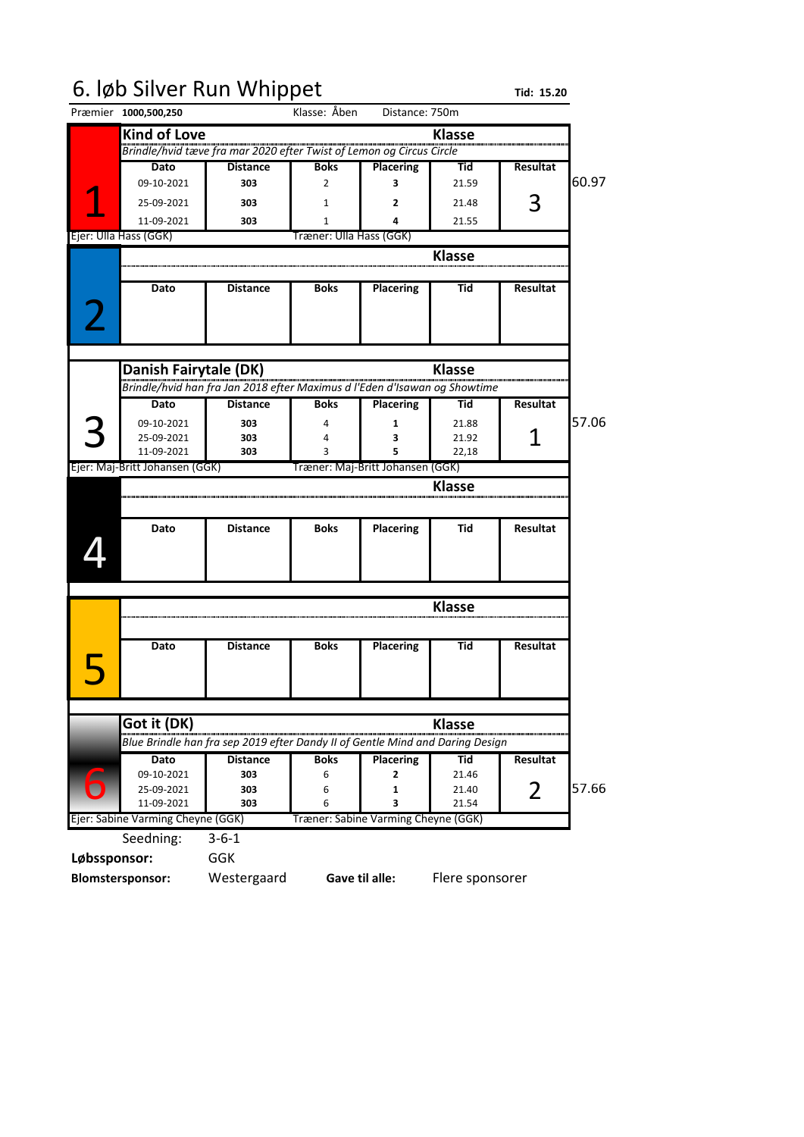### 6. løb Silver Run Whippet Tid: 15.20

|              | Præmier 1000,500,250              |                                                                               | Klasse: Åben            | Distance: 750m                      |                |                 |       |
|--------------|-----------------------------------|-------------------------------------------------------------------------------|-------------------------|-------------------------------------|----------------|-----------------|-------|
|              | <b>Kind of Love</b>               |                                                                               |                         |                                     | <b>Klasse</b>  |                 |       |
|              |                                   | -<br>Brindle/hvid tæve fra mar 2020 efter Twist of Lemon og Circus Circle     |                         |                                     |                |                 |       |
|              | Dato                              | <b>Distance</b>                                                               | <b>Boks</b>             | <b>Placering</b>                    | Tid            | <b>Resultat</b> |       |
|              | 09-10-2021                        | 303                                                                           | 2                       | 3                                   | 21.59          |                 | 60.97 |
|              | 25-09-2021                        | 303                                                                           | 1                       | 2                                   | 21.48          | 3               |       |
|              | 11-09-2021                        | 303                                                                           | $\mathbf{1}$            | 4                                   | 21.55          |                 |       |
|              | Ejer: Ulla Hass (GGK)             |                                                                               | Træner: Ulla Hass (GGK) |                                     |                |                 |       |
|              |                                   |                                                                               |                         |                                     | <b>Klasse</b>  |                 |       |
|              |                                   |                                                                               |                         |                                     |                |                 |       |
|              | Dato                              | <b>Distance</b>                                                               | <b>Boks</b>             | <b>Placering</b>                    | Tid            | Resultat        |       |
|              |                                   |                                                                               |                         |                                     |                |                 |       |
|              |                                   |                                                                               |                         |                                     |                |                 |       |
|              |                                   |                                                                               |                         |                                     |                |                 |       |
|              | Danish Fairytale (DK)             |                                                                               |                         |                                     | <b>Klasse</b>  |                 |       |
|              |                                   | Brindle/hvid han fra Jan 2018 efter Maximus d l'Eden d'Isawan og Showtime     |                         |                                     |                |                 |       |
|              | Dato                              | <b>Distance</b>                                                               | <b>Boks</b>             | <b>Placering</b>                    | Tid            | <b>Resultat</b> |       |
|              | 09-10-2021                        | 303                                                                           | 4                       | 1                                   | 21.88          |                 | 57.06 |
|              | 25-09-2021                        | 303                                                                           | 4                       | З                                   | 21.92          |                 |       |
|              | 11-09-2021                        | 303                                                                           | 3                       | 5                                   | 22,18          |                 |       |
|              | Ejer: Maj-Britt Johansen (GGK)    |                                                                               |                         | Træner: Maj-Britt Johansen (GGK)    |                |                 |       |
|              |                                   |                                                                               |                         |                                     | <b>Klasse</b>  |                 |       |
|              |                                   |                                                                               |                         |                                     |                |                 |       |
|              |                                   |                                                                               |                         |                                     |                |                 |       |
|              | Dato                              | <b>Distance</b>                                                               | <b>Boks</b>             | <b>Placering</b>                    | Tid            | <b>Resultat</b> |       |
|              |                                   |                                                                               |                         |                                     |                |                 |       |
|              |                                   |                                                                               |                         |                                     |                |                 |       |
|              |                                   |                                                                               |                         |                                     |                |                 |       |
|              |                                   |                                                                               |                         |                                     |                |                 |       |
|              |                                   |                                                                               |                         |                                     | <b>Klasse</b>  |                 |       |
|              |                                   |                                                                               |                         |                                     |                |                 |       |
|              | Dato                              | <b>Distance</b>                                                               | <b>Boks</b>             | <b>Placering</b>                    | Tid            | <b>Resultat</b> |       |
|              |                                   |                                                                               |                         |                                     |                |                 |       |
|              |                                   |                                                                               |                         |                                     |                |                 |       |
|              |                                   |                                                                               |                         |                                     |                |                 |       |
|              | Got it (DK)                       |                                                                               |                         |                                     | <b>Klasse</b>  |                 |       |
|              |                                   | Blue Brindle han fra sep 2019 efter Dandy II of Gentle Mind and Daring Design |                         |                                     |                |                 |       |
|              | Dato                              | <b>Distance</b>                                                               | <b>Boks</b>             | <b>Placering</b>                    | Tid            | Resultat        |       |
|              | 09-10-2021                        | 303                                                                           | 6                       | 2                                   | 21.46          |                 |       |
|              | 25-09-2021<br>11-09-2021          | 303<br>303                                                                    | 6<br>6                  | 1<br>3                              | 21.40<br>21.54 | 2               | 57.66 |
|              | Ejer: Sabine Varming Cheyne (GGK) |                                                                               |                         | Træner: Sabine Varming Cheyne (GGK) |                |                 |       |
|              | Seedning:                         | $3 - 6 - 1$                                                                   |                         |                                     |                |                 |       |
| Løbssponsor: |                                   | <b>GGK</b>                                                                    |                         |                                     |                |                 |       |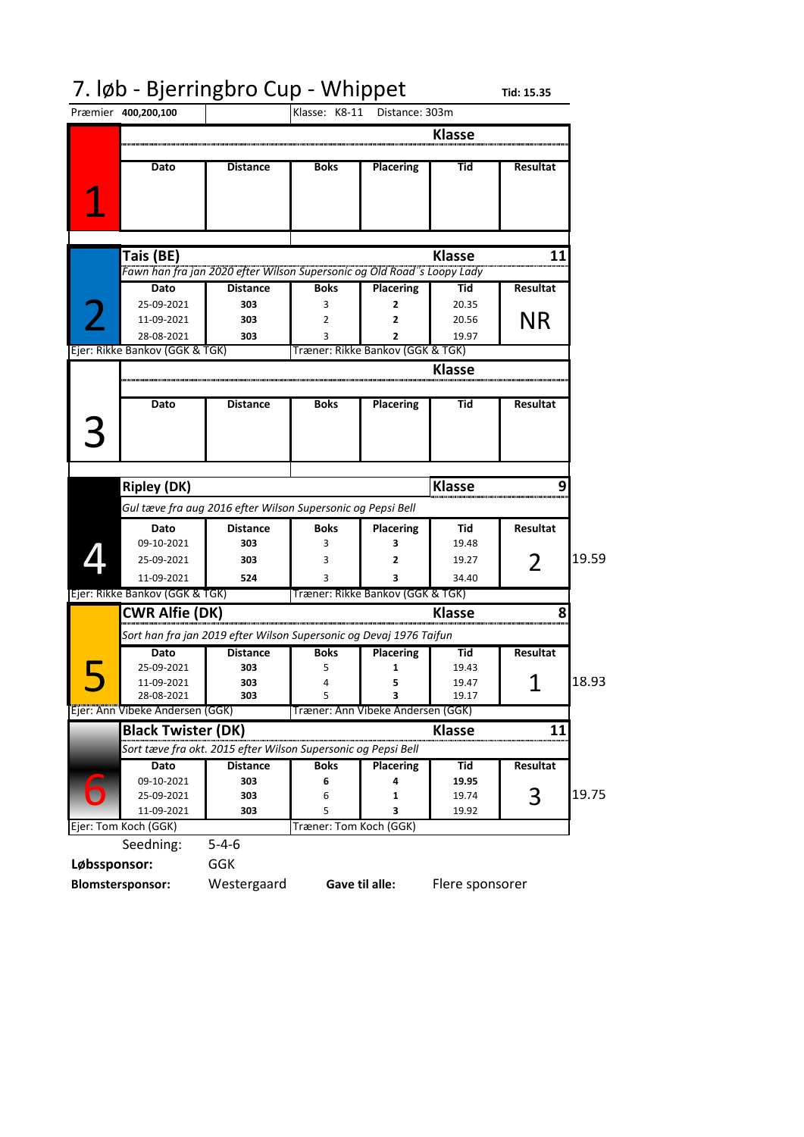## 7. løb - Bjerringbro Cup - Whippet rid: 15.35

|              | Præmier 400,200,100                    |                                                                                                  | Klasse: K8-11 Distance: 303m      |                       |                               |                       |       |
|--------------|----------------------------------------|--------------------------------------------------------------------------------------------------|-----------------------------------|-----------------------|-------------------------------|-----------------------|-------|
|              |                                        |                                                                                                  |                                   |                       | <b>Klasse</b>                 |                       |       |
|              | Dato                                   | <b>Distance</b>                                                                                  | <b>Boks</b>                       | <b>Placering</b>      | Tid                           | <b>Resultat</b>       |       |
|              | Tais (BE)<br>Dato<br>25-09-2021        | Fawn han fra jan 2020 efter Wilson Supersonic og Old Road's Loopy Lady<br><b>Distance</b><br>303 | <b>Boks</b><br>3                  | <b>Placering</b><br>2 | <b>Klasse</b><br>Tid<br>20.35 | 11<br><b>Resultat</b> |       |
|              | 11-09-2021<br>28-08-2021               | 303<br>303                                                                                       | 2<br>3                            | 2<br>2                | 20.56<br>19.97                | <b>NR</b>             |       |
|              | Ejer: Rikke Bankov (GGK & TGK)         |                                                                                                  | Træner: Rikke Bankov (GGK & TGK)  |                       |                               |                       |       |
|              |                                        |                                                                                                  |                                   |                       | <b>Klasse</b>                 |                       |       |
|              |                                        |                                                                                                  |                                   |                       |                               |                       |       |
|              | Dato                                   | <b>Distance</b>                                                                                  | <b>Boks</b>                       | <b>Placering</b>      | Tid                           | <b>Resultat</b>       |       |
|              |                                        |                                                                                                  |                                   |                       |                               |                       |       |
|              | <b>Ripley (DK)</b>                     |                                                                                                  |                                   |                       | <b>Klasse</b>                 |                       |       |
|              |                                        | Gul tæve fra aug 2016 efter Wilson Supersonic og Pepsi Bell                                      |                                   |                       |                               |                       |       |
|              | Dato                                   | <b>Distance</b>                                                                                  | <b>Boks</b>                       | <b>Placering</b>      | Tid                           | <b>Resultat</b>       |       |
|              | 09-10-2021<br>25-09-2021               | 303<br>303                                                                                       | 3<br>3                            | 3<br>2                | 19.48<br>19.27                |                       | 19.59 |
|              | 11-09-2021                             | 524                                                                                              | 3                                 | 3                     | 34.40                         | 2                     |       |
|              | Ejer: Rikke Bankov (GGK & TGK)         |                                                                                                  | Træner: Rikke Bankov (GGK & TGK)  |                       |                               |                       |       |
|              | <b>CWR Alfie (DK)</b>                  |                                                                                                  |                                   |                       | <b>Klasse</b>                 |                       |       |
|              |                                        |                                                                                                  |                                   |                       |                               |                       |       |
|              | <b>Dato</b>                            | Sort han fra jan 2019 efter Wilson Supersonic og Devaj 1976 Taifun<br><b>Distance</b>            | <b>Boks</b>                       | <b>Placering</b>      | Tid                           | <b>Resultat</b>       |       |
|              | 25-09-2021                             | 303                                                                                              | 5                                 | 1                     | 19.43                         |                       |       |
|              | 11-09-2021<br>28-08-2021               | 303<br>303                                                                                       | 4<br>5                            | 5<br>3                | 19.47<br>19.17                | 1                     | 18.93 |
|              | Ejer: Ann Vibeke Andersen (GGK)        |                                                                                                  | Træner: Ann Vibeke Andersen (GGK) |                       |                               |                       |       |
|              | <b>Black Twister (DK)</b>              |                                                                                                  |                                   |                       | <b>Klasse</b>                 | 11                    |       |
|              |                                        | Sort tæve fra okt. 2015 efter Wilson Supersonic og Pepsi Bell                                    |                                   |                       |                               |                       |       |
|              | <b>Dato</b>                            | <b>Distance</b>                                                                                  | <b>Boks</b>                       | <b>Placering</b>      | Tid                           | Resultat              |       |
|              | 09-10-2021<br>25-09-2021<br>11-09-2021 | 303<br>303<br>303                                                                                | 6<br>6<br>5                       | 4<br>1<br>3           | 19.95<br>19.74<br>19.92       | 3                     | 19.75 |
|              | Ejer: Tom Koch (GGK)                   |                                                                                                  | Træner: Tom Koch (GGK)            |                       |                               |                       |       |
|              | Seedning:                              | $5 - 4 - 6$                                                                                      |                                   |                       |                               |                       |       |
| Løbssponsor: |                                        | <b>GGK</b>                                                                                       |                                   |                       |                               |                       |       |
|              | <b>Blomstersponsor:</b>                | Westergaard                                                                                      |                                   | Gave til alle:        | Flere sponsorer               |                       |       |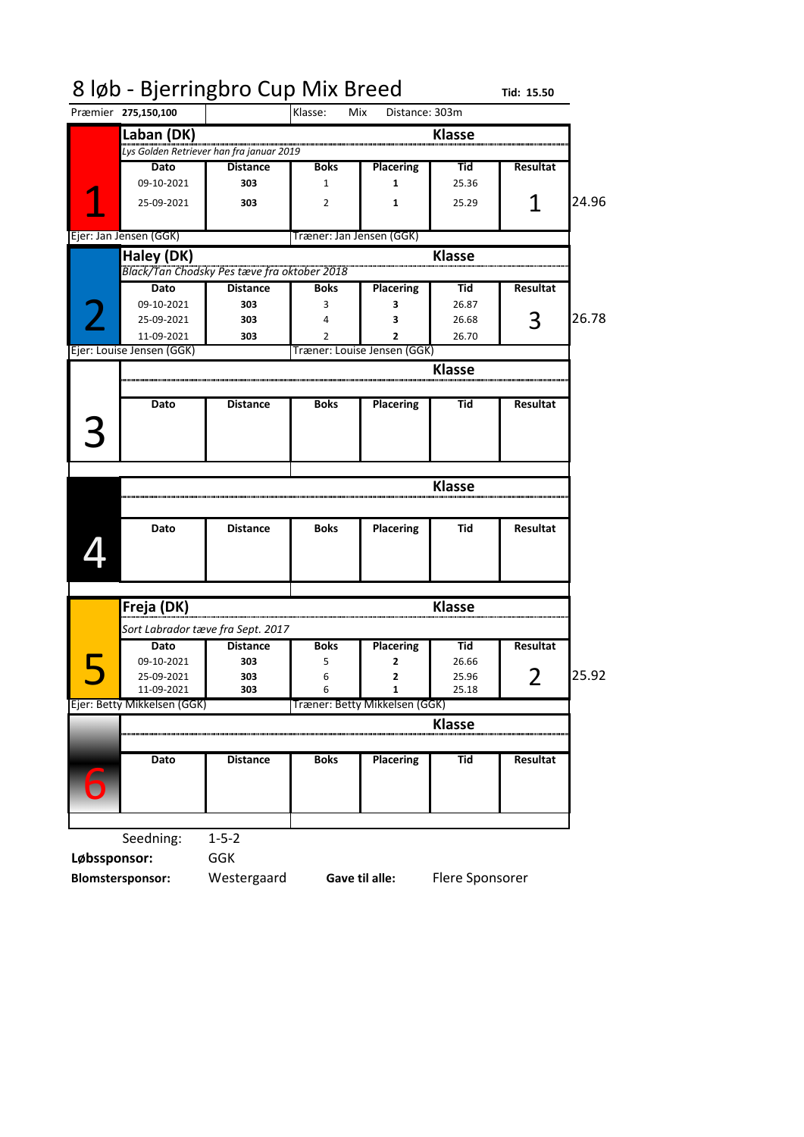|              |                             | 8 løb - Bjerringbro Cup Mix Breed           |                          |                               |                | Tid: 15.50      |       |
|--------------|-----------------------------|---------------------------------------------|--------------------------|-------------------------------|----------------|-----------------|-------|
|              | Præmier 275,150,100         |                                             | Klasse:<br>Mix           | Distance: 303m                |                |                 |       |
|              | Laban (DK)                  |                                             |                          |                               | <b>Klasse</b>  |                 |       |
|              |                             | Lys Golden Retriever han fra januar 2019    |                          |                               |                |                 |       |
|              | Dato                        | <b>Distance</b>                             | <b>Boks</b>              | <b>Placering</b>              | Tid            | Resultat        |       |
|              | 09-10-2021                  | 303                                         | 1                        | 1                             | 25.36          |                 |       |
|              | 25-09-2021                  | 303                                         | 2                        | 1                             | 25.29          | 1               | 24.96 |
|              | Ejer: Jan Jensen (GGK)      |                                             | Træner: Jan Jensen (GGK) |                               |                |                 |       |
|              |                             |                                             |                          |                               |                |                 |       |
|              | Haley (DK)                  |                                             |                          |                               | <b>Klasse</b>  |                 |       |
|              |                             | Black/Tan Chodsky Pes tæve fra oktober 2018 |                          |                               |                |                 |       |
|              | Dato                        | <b>Distance</b>                             | <b>Boks</b>              | <b>Placering</b>              | Tid            | <b>Resultat</b> |       |
|              | 09-10-2021                  | 303                                         | 3                        | 3                             | 26.87          |                 | 26.78 |
|              | 25-09-2021<br>11-09-2021    | 303<br>303                                  | 4<br>$\overline{2}$      | з<br>2                        | 26.68<br>26.70 | З               |       |
|              | Ejer: Louise Jensen (GGK)   |                                             |                          | Træner: Louise Jensen (GGK)   |                |                 |       |
|              |                             |                                             |                          |                               |                |                 |       |
|              |                             |                                             |                          |                               | <b>Klasse</b>  |                 |       |
|              | Dato                        | <b>Distance</b>                             | <b>Boks</b>              | <b>Placering</b>              | Tid            | <b>Resultat</b> |       |
|              |                             |                                             |                          |                               |                |                 |       |
|              |                             |                                             |                          |                               |                |                 |       |
|              |                             |                                             |                          |                               |                |                 |       |
|              |                             |                                             |                          |                               |                |                 |       |
|              |                             |                                             |                          |                               | <b>Klasse</b>  |                 |       |
|              |                             |                                             |                          |                               |                |                 |       |
|              | Dato                        | <b>Distance</b>                             | <b>Boks</b>              | <b>Placering</b>              | Tid            | Resultat        |       |
|              |                             |                                             |                          |                               |                |                 |       |
|              |                             |                                             |                          |                               |                |                 |       |
|              |                             |                                             |                          |                               |                |                 |       |
|              |                             |                                             |                          |                               |                |                 |       |
|              |                             |                                             |                          |                               |                |                 |       |
|              | Freja (DK)                  |                                             |                          |                               | <b>Klasse</b>  |                 |       |
|              |                             | Sort Labrador tæve fra Sept. 2017           |                          |                               |                |                 |       |
|              | Dato                        | <b>Distance</b>                             | <b>Boks</b>              | <b>Placering</b>              | Tid            | <b>Resultat</b> |       |
|              | 09-10-2021                  | 303                                         | 5                        | 2                             | 26.66          |                 |       |
|              | 25-09-2021                  | 303                                         | 6                        |                               | 25.96          | $\overline{2}$  |       |
|              | 11-09-2021                  | 303                                         | 6                        | 1                             | 25.18          |                 |       |
|              | Ejer: Betty Mikkelsen (GGK) |                                             |                          | Træner: Betty Mikkelsen (GGK) |                |                 |       |
|              |                             |                                             |                          |                               | <b>Klasse</b>  |                 |       |
|              |                             |                                             |                          |                               |                |                 | 25.92 |
|              | Dato                        | <b>Distance</b>                             | <b>Boks</b>              | <b>Placering</b>              | Tid            | Resultat        |       |
|              |                             |                                             |                          |                               |                |                 |       |
| b            |                             |                                             |                          |                               |                |                 |       |
|              |                             |                                             |                          |                               |                |                 |       |
|              | Seedning:                   | $1 - 5 - 2$                                 |                          |                               |                |                 |       |
| Løbssponsor: |                             | GGK                                         |                          |                               |                |                 |       |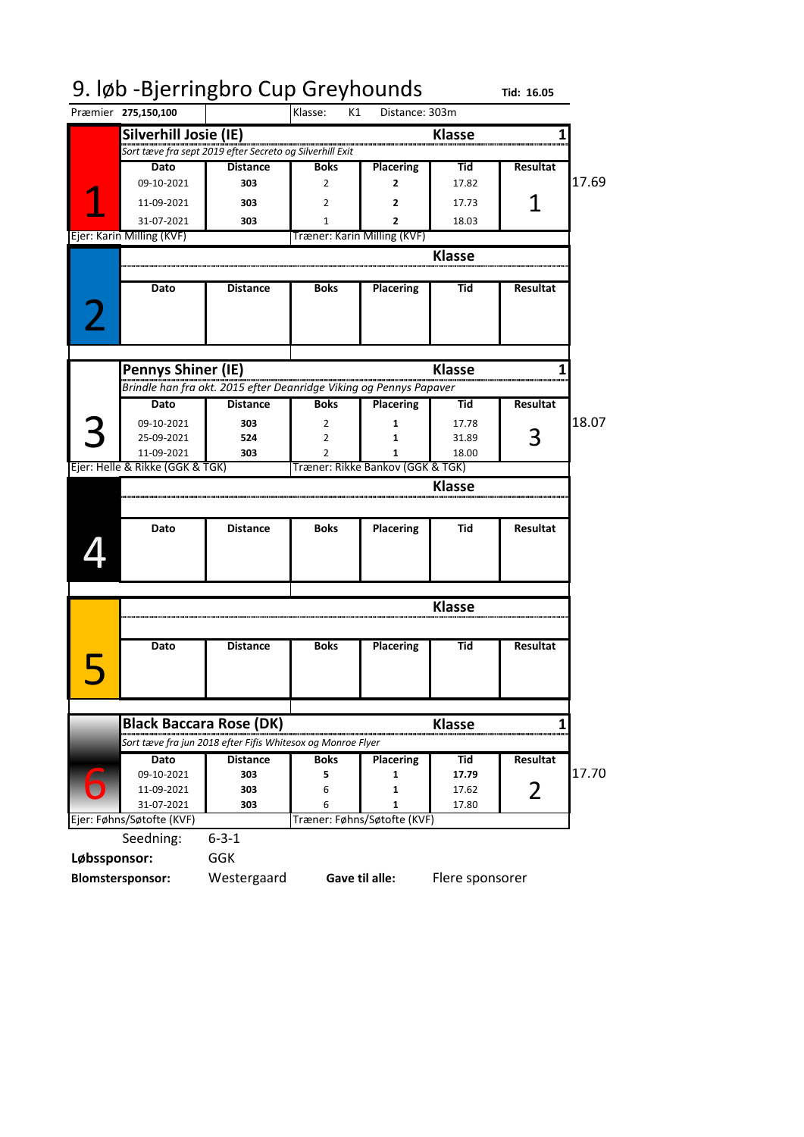|                                 | 9. løb - Bjerringbro Cup Greyhounds                                |                             |                                  |               | Tid: 16.05      |       |
|---------------------------------|--------------------------------------------------------------------|-----------------------------|----------------------------------|---------------|-----------------|-------|
| Præmier 275,150,100             |                                                                    | Klasse:<br>K1               | Distance: 303m                   |               |                 |       |
| Silverhill Josie (IE)           |                                                                    |                             |                                  | <b>Klasse</b> |                 |       |
|                                 | Sort tæve fra sept 2019 efter Secreto og Silverhill Exit           |                             |                                  |               |                 |       |
| Dato                            | <b>Distance</b>                                                    | <b>Boks</b>                 | <b>Placering</b>                 | Tid           | <b>Resultat</b> |       |
| 09-10-2021                      | 303                                                                | 2                           | 2                                | 17.82         |                 | 17.69 |
| 11-09-2021                      | 303                                                                | 2                           | 2                                | 17.73         |                 |       |
| 31-07-2021                      | 303                                                                | 1                           | 2                                | 18.03         |                 |       |
| Ejer: Karin Milling (KVF)       |                                                                    | Træner: Karin Milling (KVF) |                                  |               |                 |       |
|                                 |                                                                    |                             |                                  | <b>Klasse</b> |                 |       |
|                                 |                                                                    |                             |                                  |               |                 |       |
| Dato                            | <b>Distance</b>                                                    | <b>Boks</b>                 | <b>Placering</b>                 | Tid           | <b>Resultat</b> |       |
| Pennys Shiner (IE)              |                                                                    |                             |                                  | <b>Klasse</b> |                 |       |
|                                 | Brindle han fra okt. 2015 efter Deanridge Viking og Pennys Papaver |                             |                                  |               |                 |       |
| Dato                            | <b>Distance</b>                                                    | <b>Boks</b>                 | <b>Placering</b>                 | Tid           | <b>Resultat</b> |       |
| 09-10-2021                      | 303                                                                | 2                           | 1                                | 17.78         |                 | 18.07 |
| 25-09-2021                      | 524                                                                | 2                           | 1                                | 31.89         | З               |       |
| 11-09-2021                      | 303                                                                | $\mathfrak z$               | 1                                | 18.00         |                 |       |
| Ejer: Helle & Rikke (GGK & TGK) |                                                                    |                             | Træner: Rikke Bankov (GGK & TGK) |               |                 |       |
|                                 |                                                                    |                             |                                  | Klasse        |                 |       |
| Dato                            | <b>Distance</b>                                                    | <b>Boks</b>                 | <b>Placering</b>                 | Tid           | <b>Resultat</b> |       |
|                                 |                                                                    |                             |                                  | <b>Klasse</b> |                 |       |
| Dato                            | <b>Distance</b>                                                    | <b>Boks</b>                 | <b>Placering</b>                 | Tid           | <b>Resultat</b> |       |
|                                 |                                                                    |                             |                                  |               |                 |       |
|                                 | <b>Black Baccara Rose (DK)</b>                                     |                             |                                  | <b>Klasse</b> |                 |       |
|                                 | Sort tæve fra jun 2018 efter Fifis Whitesox og Monroe Flyer        |                             |                                  |               |                 |       |
| Dato                            | <b>Distance</b>                                                    | <b>Boks</b>                 | <b>Placering</b>                 | Tid           | <b>Resultat</b> |       |
| 09-10-2021                      | 303                                                                | 5                           | 1                                | 17.79         |                 | 17.70 |
| 11-09-2021                      | 303                                                                | 6                           | 1                                | 17.62         | 2               |       |
| 31-07-2021                      | 303                                                                | 6                           | 1                                | 17.80         |                 |       |
| Ejer: Føhns/Søtofte (KVF)       |                                                                    |                             | Træner: Føhns/Søtofte (KVF)      |               |                 |       |
| Seedning:                       | $6 - 3 - 1$                                                        |                             |                                  |               |                 |       |
| Løbssponsor:                    | <b>GGK</b>                                                         |                             |                                  |               |                 |       |
|                                 |                                                                    |                             |                                  |               |                 |       |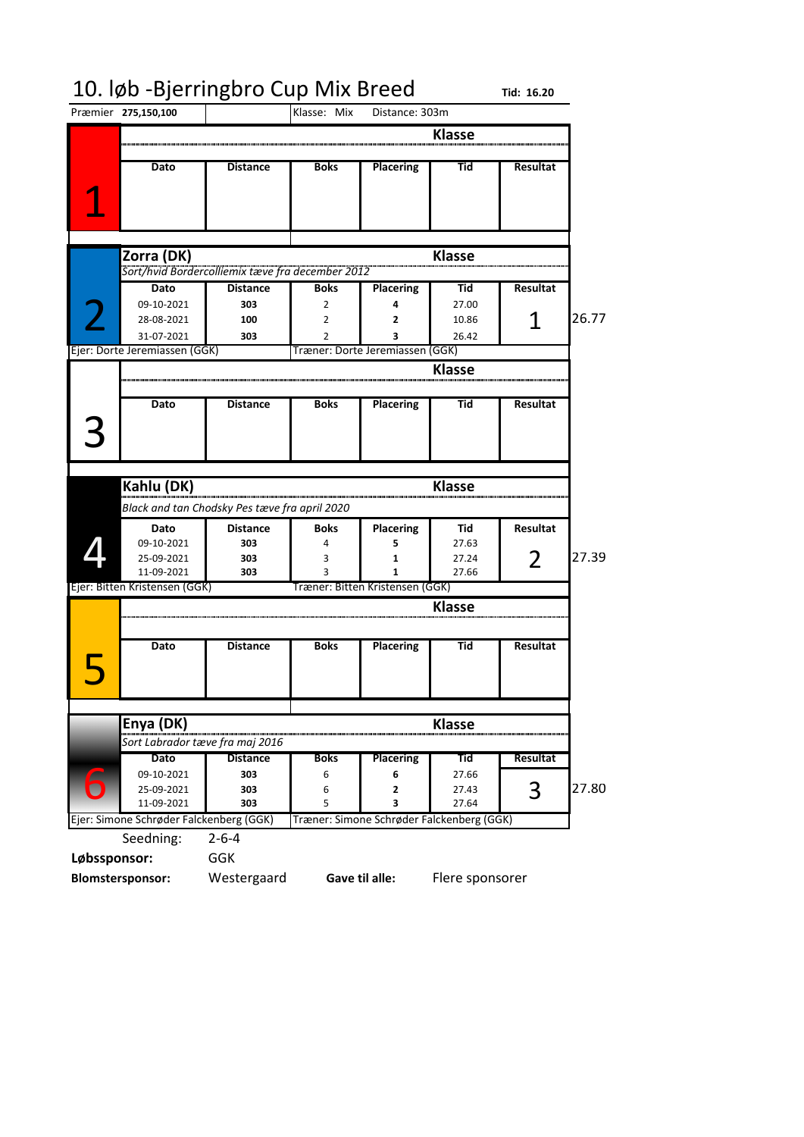# 10. løb -Bjerringbro Cup Mix Breed rid: 16.20<br>Præmier 275,150,100 | IKlasse: Mix Distance: 303m

Præmier **275,150,100 Klasse Dato Distance Boks Placering Tid Resultat Klasse Dato Distance Boks Placering Tid Resultat** 09-10-2021 **303** 2 **4** 27.00 28-08-2021 **100** 2 **2** 10.86 26.77 **31-07-2021 303 2 33 26.42**<br> **12 2 3** 26.42<br> **13 26.42 2 26.42 17 2010 2 26.42 26.42 26.42 Klasse Dato Distance Boks Placering Tid Resultat Klasse Dato Distance Boks Placering Tid Resultat** 09-10-2021 **303** 4 **5** 27.63 25-09-2021 **303** 3 **1** 27.24 27.39 11-09-2021 **303** 3 1 1 27.66 **Klasse Dato Distance Boks Placering Tid Resultat Klasse Dato Distance Boks Placering Tid Resultat** 09-10-2021 **303** 6 **6** 27.66 25-09-2021 **303** 6 **2** 27.43 27.80 11-09-2021 **303** 5 **3** 27.64 Seedning: 2-6-4 **Løbssponsor:** GGK **Blomstersponsor:** Westergaard Distance: 303m 1 2 **Zorra (DK)** *Sort/hvid Bordercolliemix tæve fra december 2012* 1 Træner: Dorte Jeremiassen (GGK) 3 4 **Kahlu (DK)** *Black and tan Chodsky Pes tæve fra april 2020* 2 Ejer: Bitten Kristensen (GGK) Træner: Bitten Kristensen (GGK) 5 **Gave til alle:** Flere sponsorer 6 **Enya (DK)** *Sort Labrador tæve fra maj 2016* 3 Ejer: Simone Schrøder Falckenberg (GGK) Træner: Simone Schrøder Falckenberg (GGK)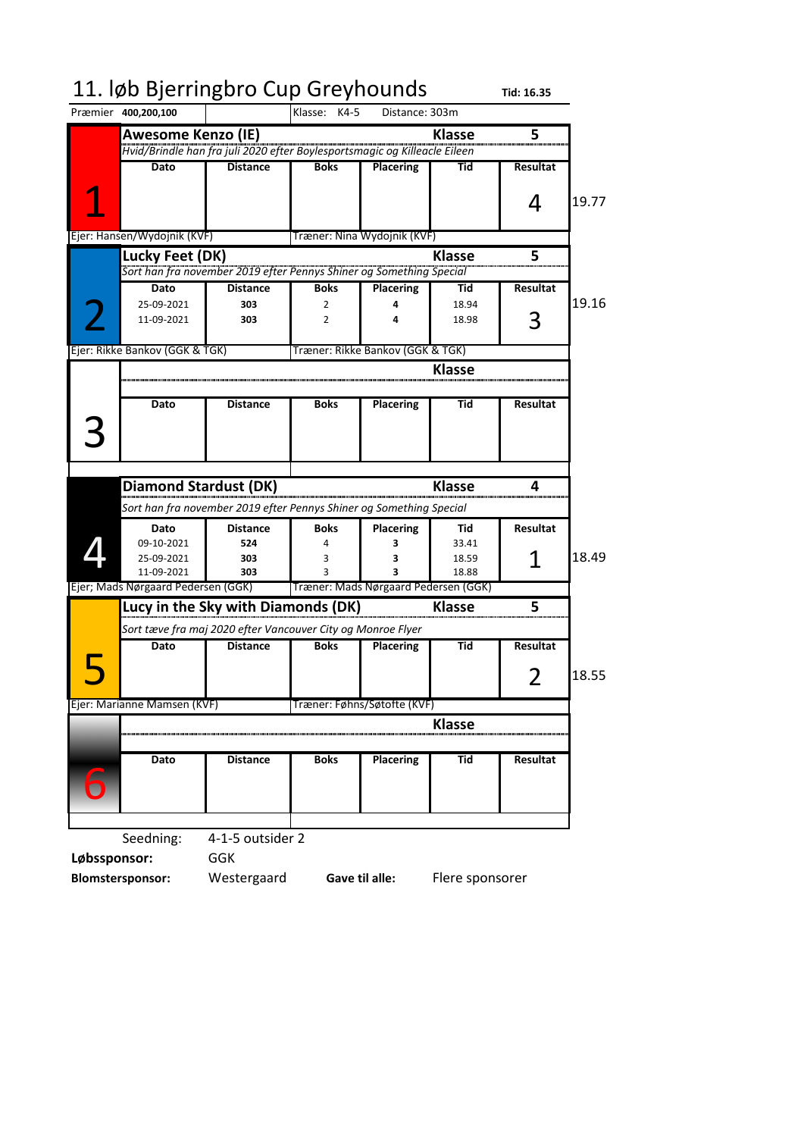| 11. løb Bjerringbro Cup Greyhounds |                                                                                | Klasse: K4-5 |                                      |               | Tid: 16.35      |       |
|------------------------------------|--------------------------------------------------------------------------------|--------------|--------------------------------------|---------------|-----------------|-------|
| Præmier 400,200,100                |                                                                                |              | Distance: 303m                       |               |                 |       |
| <b>Awesome Kenzo (IE)</b>          |                                                                                |              |                                      | <b>Klasse</b> | 5               |       |
|                                    | Hvid/Brindle han fra juli 2020 efter Boylesportsmagic og Killeacle Eileen      |              |                                      |               |                 |       |
| Dato                               | <b>Distance</b>                                                                | <b>Boks</b>  | <b>Placering</b>                     | Tid           | <b>Resultat</b> |       |
|                                    |                                                                                |              |                                      |               |                 |       |
|                                    |                                                                                |              |                                      |               | 4               | 19.77 |
|                                    |                                                                                |              |                                      |               |                 |       |
| Ejer: Hansen/Wydojnik (KVF)        |                                                                                |              | Træner: Nina Wydojnik (KVF)          |               |                 |       |
| Lucky Feet (DK)                    |                                                                                |              |                                      | <b>Klasse</b> | 5               |       |
|                                    | Sort han fra november 2019 efter Pennys Shiner og Something Special            |              |                                      |               |                 |       |
| Dato                               | <b>Distance</b>                                                                | <b>Boks</b>  | <b>Placering</b>                     | Tid           | <b>Resultat</b> |       |
| 25-09-2021                         | 303                                                                            | 2            | 4                                    | 18.94         |                 | 19.16 |
| 11-09-2021                         | 303                                                                            | 2            | 4                                    | 18.98         |                 |       |
| Ejer: Rikke Bankov (GGK & TGK)     |                                                                                |              | Træner: Rikke Bankov (GGK & TGK)     |               |                 |       |
|                                    |                                                                                |              |                                      | <b>Klasse</b> |                 |       |
|                                    |                                                                                |              |                                      |               |                 |       |
| Dato                               | <b>Distance</b>                                                                | <b>Boks</b>  | <b>Placering</b>                     | Tid           | <b>Resultat</b> |       |
|                                    |                                                                                |              |                                      |               |                 |       |
|                                    |                                                                                |              |                                      |               |                 |       |
|                                    |                                                                                |              |                                      |               |                 |       |
|                                    |                                                                                |              |                                      |               |                 |       |
| <b>Diamond Stardust (DK)</b>       |                                                                                |              |                                      | <b>Klasse</b> | 4               |       |
|                                    | Sort han fra november 2019 efter Pennys Shiner og Something Special            |              |                                      |               |                 |       |
| Dato                               | <b>Distance</b>                                                                | <b>Boks</b>  | <b>Placering</b>                     | Tid           | <b>Resultat</b> |       |
| 09-10-2021                         | 524                                                                            | 4            | 3                                    | 33.41         |                 |       |
| 25-09-2021                         | 303                                                                            | 3            | 3                                    | 18.59         |                 | 18.49 |
| 11-09-2021                         | 303                                                                            | 3            |                                      | 18.88         |                 |       |
| Ejer; Mads Nørgaard Pedersen (GGK) |                                                                                |              | Træner: Mads Nørgaard Pedersen (GGK) |               |                 |       |
|                                    |                                                                                |              |                                      |               |                 |       |
|                                    | Lucy in the Sky with Diamonds (DK)                                             |              |                                      | <b>Klasse</b> | 5               |       |
|                                    |                                                                                |              |                                      |               |                 |       |
| Dato                               | Sort tæve fra maj 2020 efter Vancouver City og Monroe Flyer<br><b>Distance</b> | <b>Boks</b>  | <b>Placering</b>                     | Tid           | Resultat        |       |
|                                    |                                                                                |              |                                      |               |                 |       |
|                                    |                                                                                |              |                                      |               |                 | 18.55 |
|                                    |                                                                                |              |                                      |               | $\angle$        |       |
| Ejer: Marianne Mamsen (KVF)        |                                                                                |              | Træner: Føhns/Søtofte (KVF)          |               |                 |       |
|                                    |                                                                                |              |                                      | <b>Klasse</b> |                 |       |
|                                    |                                                                                |              |                                      |               |                 |       |
| Dato                               | <b>Distance</b>                                                                | <b>Boks</b>  | <b>Placering</b>                     | Tid           | Resultat        |       |
|                                    |                                                                                |              |                                      |               |                 |       |
|                                    |                                                                                |              |                                      |               |                 |       |
|                                    |                                                                                |              |                                      |               |                 |       |
| Seedning:                          | 4-1-5 outsider 2                                                               |              |                                      |               |                 |       |

**Blomstersponsor:** Westergaard Flere sponsorer